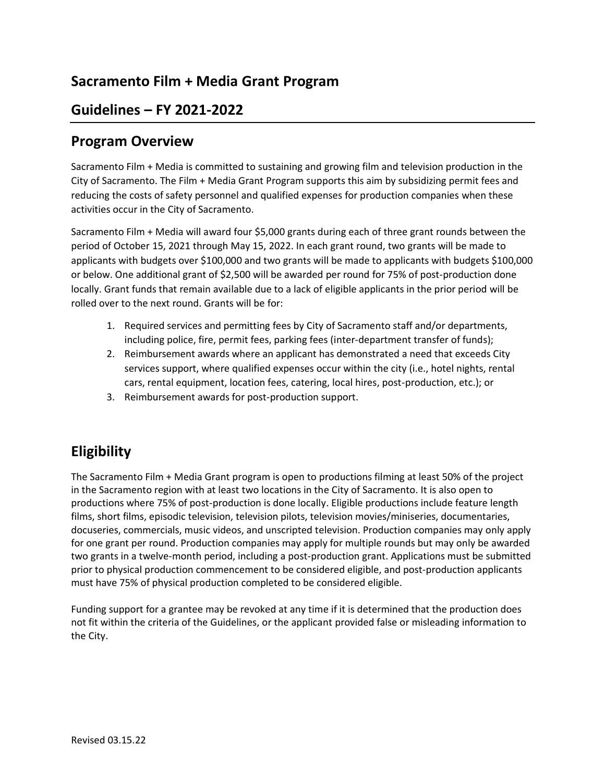# **Sacramento Film + Media Grant Program**

### **Guidelines – FY 2021-2022**

#### **Program Overview**

Sacramento Film + Media is committed to sustaining and growing film and television production in the City of Sacramento. The Film + Media Grant Program supports this aim by subsidizing permit fees and reducing the costs of safety personnel and qualified expenses for production companies when these activities occur in the City of Sacramento.

Sacramento Film + Media will award four \$5,000 grants during each of three grant rounds between the period of October 15, 2021 through May 15, 2022. In each grant round, two grants will be made to applicants with budgets over \$100,000 and two grants will be made to applicants with budgets \$100,000 or below. One additional grant of \$2,500 will be awarded per round for 75% of post-production done locally. Grant funds that remain available due to a lack of eligible applicants in the prior period will be rolled over to the next round. Grants will be for:

- 1. Required services and permitting fees by City of Sacramento staff and/or departments, including police, fire, permit fees, parking fees (inter-department transfer of funds);
- 2. Reimbursement awards where an applicant has demonstrated a need that exceeds City services support, where qualified expenses occur within the city (i.e., hotel nights, rental cars, rental equipment, location fees, catering, local hires, post-production, etc.); or
- 3. Reimbursement awards for post-production support.

# **Eligibility**

The Sacramento Film + Media Grant program is open to productions filming at least 50% of the project in the Sacramento region with at least two locations in the City of Sacramento. It is also open to productions where 75% of post-production is done locally. Eligible productions include feature length films, short films, episodic television, television pilots, television movies/miniseries, documentaries, docuseries, commercials, music videos, and unscripted television. Production companies may only apply for one grant per round. Production companies may apply for multiple rounds but may only be awarded two grants in a twelve-month period, including a post-production grant. Applications must be submitted prior to physical production commencement to be considered eligible, and post-production applicants must have 75% of physical production completed to be considered eligible.

Funding support for a grantee may be revoked at any time if it is determined that the production does not fit within the criteria of the Guidelines, or the applicant provided false or misleading information to the City.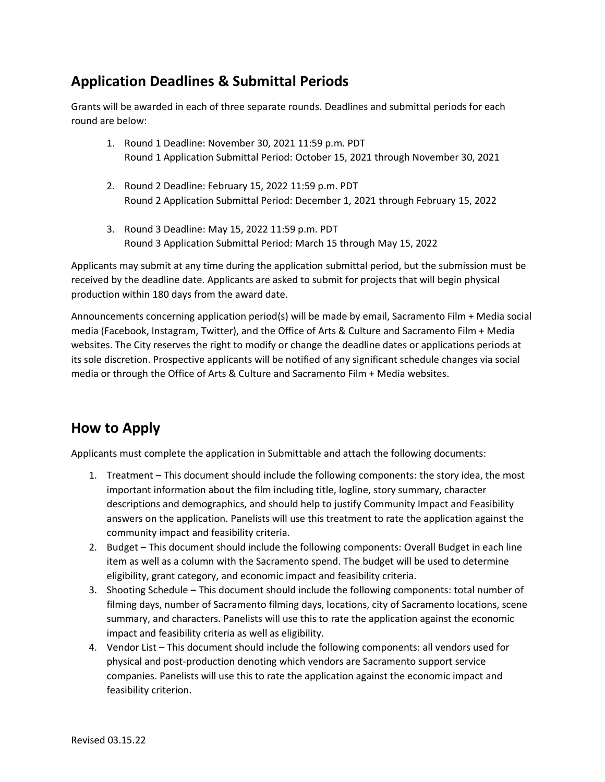# **Application Deadlines & Submittal Periods**

Grants will be awarded in each of three separate rounds. Deadlines and submittal periods for each round are below:

- 1. Round 1 Deadline: November 30, 2021 11:59 p.m. PDT Round 1 Application Submittal Period: October 15, 2021 through November 30, 2021
- 2. Round 2 Deadline: February 15, 2022 11:59 p.m. PDT Round 2 Application Submittal Period: December 1, 2021 through February 15, 2022
- 3. Round 3 Deadline: May 15, 2022 11:59 p.m. PDT Round 3 Application Submittal Period: March 15 through May 15, 2022

Applicants may submit at any time during the application submittal period, but the submission must be received by the deadline date. Applicants are asked to submit for projects that will begin physical production within 180 days from the award date.

Announcements concerning application period(s) will be made by email, Sacramento Film + Media social media (Facebook, Instagram, Twitter), and the Office of Arts & Culture and Sacramento Film + Media websites. The City reserves the right to modify or change the deadline dates or applications periods at its sole discretion. Prospective applicants will be notified of any significant schedule changes via social media or through the Office of Arts & Culture and Sacramento Film + Media websites.

# **How to Apply**

Applicants must complete the application in Submittable and attach the following documents:

- 1. Treatment This document should include the following components: the story idea, the most important information about the film including title, logline, story summary, character descriptions and demographics, and should help to justify Community Impact and Feasibility answers on the application. Panelists will use this treatment to rate the application against the community impact and feasibility criteria.
- 2. Budget This document should include the following components: Overall Budget in each line item as well as a column with the Sacramento spend. The budget will be used to determine eligibility, grant category, and economic impact and feasibility criteria.
- 3. Shooting Schedule This document should include the following components: total number of filming days, number of Sacramento filming days, locations, city of Sacramento locations, scene summary, and characters. Panelists will use this to rate the application against the economic impact and feasibility criteria as well as eligibility.
- 4. Vendor List This document should include the following components: all vendors used for physical and post-production denoting which vendors are Sacramento support service companies. Panelists will use this to rate the application against the economic impact and feasibility criterion.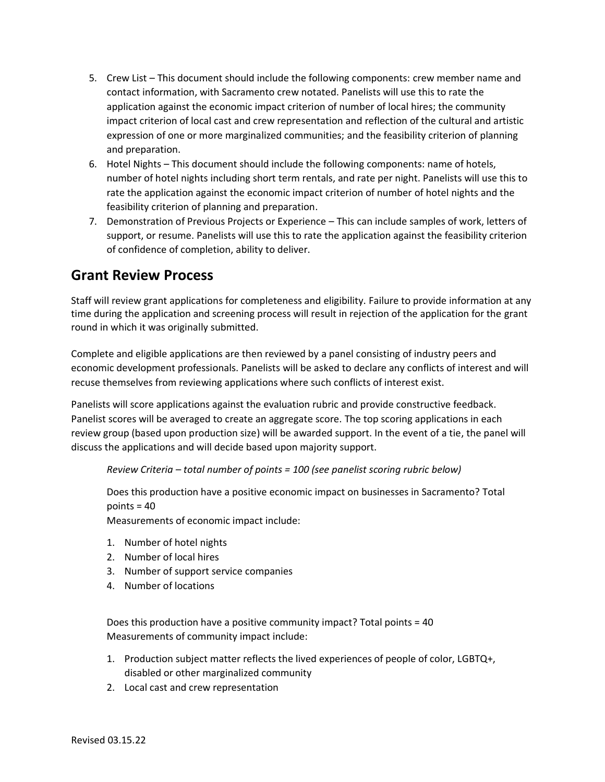- 5. Crew List This document should include the following components: crew member name and contact information, with Sacramento crew notated. Panelists will use this to rate the application against the economic impact criterion of number of local hires; the community impact criterion of local cast and crew representation and reflection of the cultural and artistic expression of one or more marginalized communities; and the feasibility criterion of planning and preparation.
- 6. Hotel Nights This document should include the following components: name of hotels, number of hotel nights including short term rentals, and rate per night. Panelists will use this to rate the application against the economic impact criterion of number of hotel nights and the feasibility criterion of planning and preparation.
- 7. Demonstration of Previous Projects or Experience This can include samples of work, letters of support, or resume. Panelists will use this to rate the application against the feasibility criterion of confidence of completion, ability to deliver.

#### **Grant Review Process**

Staff will review grant applications for completeness and eligibility. Failure to provide information at any time during the application and screening process will result in rejection of the application for the grant round in which it was originally submitted.

Complete and eligible applications are then reviewed by a panel consisting of industry peers and economic development professionals. Panelists will be asked to declare any conflicts of interest and will recuse themselves from reviewing applications where such conflicts of interest exist.

Panelists will score applications against the evaluation rubric and provide constructive feedback. Panelist scores will be averaged to create an aggregate score. The top scoring applications in each review group (based upon production size) will be awarded support. In the event of a tie, the panel will discuss the applications and will decide based upon majority support.

*Review Criteria – total number of points = 100 (see panelist scoring rubric below)*

Does this production have a positive economic impact on businesses in Sacramento? Total points = 40

Measurements of economic impact include:

- 1. Number of hotel nights
- 2. Number of local hires
- 3. Number of support service companies
- 4. Number of locations

Does this production have a positive community impact? Total points = 40 Measurements of community impact include:

- 1. Production subject matter reflects the lived experiences of people of color, LGBTQ+, disabled or other marginalized community
- 2. Local cast and crew representation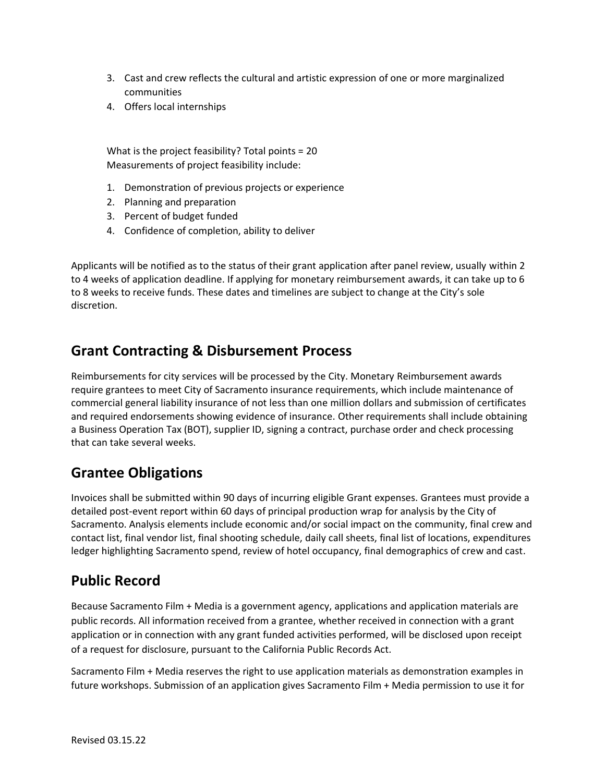- 3. Cast and crew reflects the cultural and artistic expression of one or more marginalized communities
- 4. Offers local internships

What is the project feasibility? Total points = 20 Measurements of project feasibility include:

- 1. Demonstration of previous projects or experience
- 2. Planning and preparation
- 3. Percent of budget funded
- 4. Confidence of completion, ability to deliver

Applicants will be notified as to the status of their grant application after panel review, usually within 2 to 4 weeks of application deadline. If applying for monetary reimbursement awards, it can take up to 6 to 8 weeks to receive funds. These dates and timelines are subject to change at the City's sole discretion.

#### **Grant Contracting & Disbursement Process**

Reimbursements for city services will be processed by the City. Monetary Reimbursement awards require grantees to meet City of Sacramento insurance requirements, which include maintenance of commercial general liability insurance of not less than one million dollars and submission of certificates and required endorsements showing evidence of insurance. Other requirements shall include obtaining a Business Operation Tax (BOT), supplier ID, signing a contract, purchase order and check processing that can take several weeks.

# **Grantee Obligations**

Invoices shall be submitted within 90 days of incurring eligible Grant expenses. Grantees must provide a detailed post-event report within 60 days of principal production wrap for analysis by the City of Sacramento. Analysis elements include economic and/or social impact on the community, final crew and contact list, final vendor list, final shooting schedule, daily call sheets, final list of locations, expenditures ledger highlighting Sacramento spend, review of hotel occupancy, final demographics of crew and cast.

#### **Public Record**

Because Sacramento Film + Media is a government agency, applications and application materials are public records. All information received from a grantee, whether received in connection with a grant application or in connection with any grant funded activities performed, will be disclosed upon receipt of a request for disclosure, pursuant to the California Public Records Act.

Sacramento Film + Media reserves the right to use application materials as demonstration examples in future workshops. Submission of an application gives Sacramento Film + Media permission to use it for